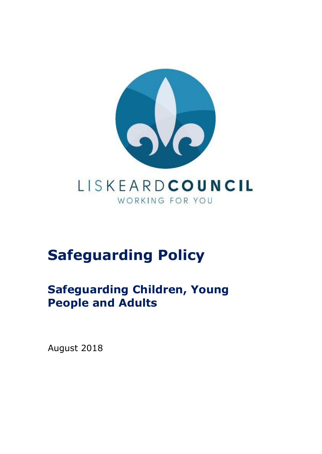

# **Safeguarding Policy**

## **Safeguarding Children, Young People and Adults**

August 2018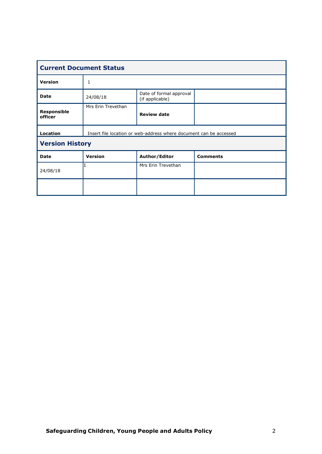| <b>Current Document Status</b> |                                                                    |                                            |                 |  |
|--------------------------------|--------------------------------------------------------------------|--------------------------------------------|-----------------|--|
| <b>Version</b>                 | 1                                                                  |                                            |                 |  |
| <b>Date</b>                    | 24/08/18                                                           | Date of formal approval<br>(if applicable) |                 |  |
| <b>Responsible</b><br>officer  | Mrs Erin Trevethan                                                 | <b>Review date</b>                         |                 |  |
| Location                       | Insert file location or web-address where document can be accessed |                                            |                 |  |
| <b>Version History</b>         |                                                                    |                                            |                 |  |
| <b>Date</b>                    | <b>Version</b>                                                     | Author/Editor                              | <b>Comments</b> |  |
| 24/08/18                       |                                                                    | Mrs Erin Trevethan                         |                 |  |
|                                |                                                                    |                                            |                 |  |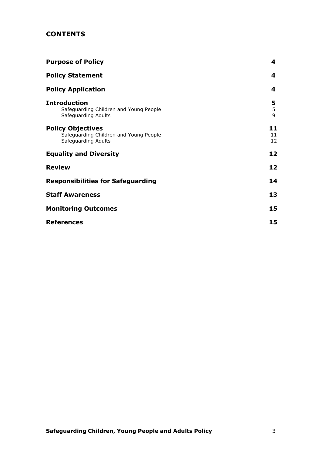## **CONTENTS**

| 4              |
|----------------|
| 4              |
| 4              |
| 5<br>5<br>9    |
| 11<br>11<br>12 |
| 12             |
| 12             |
| 14             |
| 13             |
| 15             |
| 15             |
|                |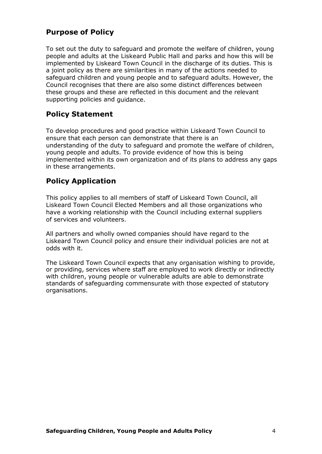## **Purpose of Policy**

To set out the duty to safeguard and promote the welfare of children, young people and adults at the Liskeard Public Hall and parks and how this will be implemented by Liskeard Town Council in the discharge of its duties. This is a joint policy as there are similarities in many of the actions needed to safeguard children and young people and to safeguard adults. However, the Council recognises that there are also some distinct differences between these groups and these are reflected in this document and the relevant supporting policies and guidance.

## **Policy Statement**

To develop procedures and good practice within Liskeard Town Council to ensure that each person can demonstrate that there is an understanding of the duty to safeguard and promote the welfare of children, young people and adults. To provide evidence of how this is being implemented within its own organization and of its plans to address any gaps in these arrangements.

## **Policy Application**

This policy applies to all members of staff of Liskeard Town Council, all Liskeard Town Council Elected Members and all those organizations who have a working relationship with the Council including external suppliers of services and volunteers.

All partners and wholly owned companies should have regard to the Liskeard Town Council policy and ensure their individual policies are not at odds with it.

The Liskeard Town Council expects that any organisation wishing to provide, or providing, services where staff are employed to work directly or indirectly with children, young people or vulnerable adults are able to demonstrate standards of safeguarding commensurate with those expected of statutory organisations.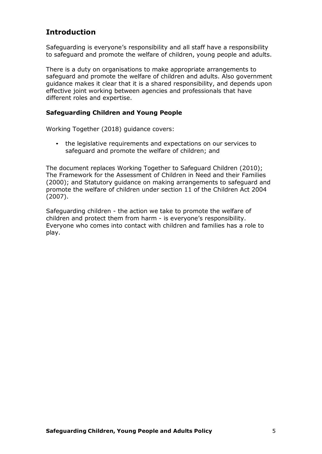## **Introduction**

Safeguarding is everyone's responsibility and all staff have a responsibility to safeguard and promote the welfare of children, young people and adults.

There is a duty on organisations to make appropriate arrangements to safeguard and promote the welfare of children and adults. Also government guidance makes it clear that it is a shared responsibility, and depends upon effective joint working between agencies and professionals that have different roles and expertise.

#### **Safeguarding Children and Young People**

Working Together (2018) guidance covers:

• the legislative requirements and expectations on our services to safeguard and promote the welfare of children; and

The document replaces Working Together to Safeguard Children (2010); The Framework for the Assessment of Children in Need and their Families (2000); and Statutory guidance on making arrangements to safeguard and promote the welfare of children under section 11 of the Children Act 2004 (2007).

Safeguarding children - the action we take to promote the welfare of children and protect them from harm - is everyone's responsibility. Everyone who comes into contact with children and families has a role to play.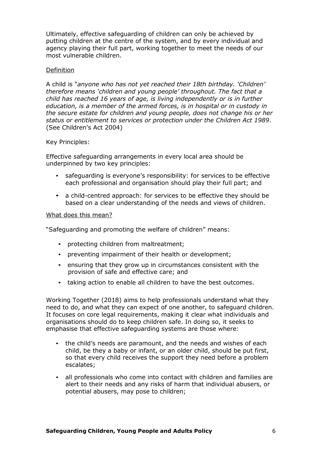Ultimately, effective safeguarding of children can only be achieved by putting children at the centre of the system, and by every individual and agency playing their full part, working together to meet the needs of our most vulnerable children.

#### **Definition**

A child is "*anyone who has not yet reached their 18th birthday. 'Children' therefore means 'children and young people' throughout. The fact that a child has reached 16 years of age, is living independently or is in further education, is a member of the armed forces, is in hospital or in custody in the secure estate for children and young people, does not change his or her status or entitlement to services or protection under the Children Act 1989*. (See Children's Act 2004)

#### Key Principles:

Effective safeguarding arrangements in every local area should be underpinned by two key principles:

- safeguarding is everyone's responsibility: for services to be effective each professional and organisation should play their full part; and
- a child-centred approach: for services to be effective they should be based on a clear understanding of the needs and views of children.

#### What does this mean?

"Safeguarding and promoting the welfare of children" means:

- protecting children from maltreatment;
- preventing impairment of their health or development;
- ensuring that they grow up in circumstances consistent with the provision of safe and effective care; and
- taking action to enable all children to have the best outcomes.

Working Together (2018) aims to help professionals understand what they need to do, and what they can expect of one another, to safeguard children. It focuses on core legal requirements, making it clear what individuals and organisations should do to keep children safe. In doing so, it seeks to emphasise that effective safeguarding systems are those where:

- the child's needs are paramount, and the needs and wishes of each child, be they a baby or infant, or an older child, should be put first, so that every child receives the support they need before a problem escalates;
- all professionals who come into contact with children and families are alert to their needs and any risks of harm that individual abusers, or potential abusers, may pose to children;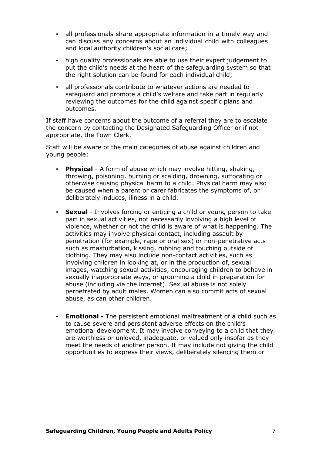- all professionals share appropriate information in a timely way and can discuss any concerns about an individual child with colleagues and local authority children's social care;
- high quality professionals are able to use their expert judgement to put the child's needs at the heart of the safeguarding system so that the right solution can be found for each individual child;
- all professionals contribute to whatever actions are needed to safeguard and promote a child's welfare and take part in regularly reviewing the outcomes for the child against specific plans and outcomes.

If staff have concerns about the outcome of a referral they are to escalate the concern by contacting the Designated Safeguarding Officer or if not appropriate, the Town Clerk.

Staff will be aware of the main categories of abuse against children and young people:

- **Physical**  A form of abuse which may involve hitting, shaking, throwing, poisoning, burning or scalding, drowning, suffocating or otherwise causing physical harm to a child. Physical harm may also be caused when a parent or carer fabricates the symptoms of, or deliberately induces, illness in a child.
- **Sexual** Involves forcing or enticing a child or young person to take part in sexual activities, not necessarily involving a high level of violence, whether or not the child is aware of what is happening. The activities may involve physical contact, including assault by penetration (for example, rape or oral sex) or non-penetrative acts such as masturbation, kissing, rubbing and touching outside of clothing. They may also include non-contact activities, such as involving children in looking at, or in the production of, sexual images, watching sexual activities, encouraging children to behave in sexually inappropriate ways, or grooming a child in preparation for abuse (including via the internet). Sexual abuse is not solely perpetrated by adult males. Women can also commit acts of sexual abuse, as can other children.
- **Emotional -** The persistent emotional maltreatment of a child such as to cause severe and persistent adverse effects on the child's emotional development. It may involve conveying to a child that they are worthless or unloved, inadequate, or valued only insofar as they meet the needs of another person. It may include not giving the child opportunities to express their views, deliberately silencing them or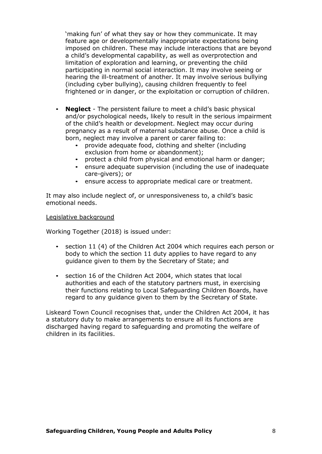'making fun' of what they say or how they communicate. It may feature age or developmentally inappropriate expectations being imposed on children. These may include interactions that are beyond a child's developmental capability, as well as overprotection and limitation of exploration and learning, or preventing the child participating in normal social interaction. It may involve seeing or hearing the ill-treatment of another. It may involve serious bullying (including cyber bullying), causing children frequently to feel frightened or in danger, or the exploitation or corruption of children.

- **Neglect** The persistent failure to meet a child's basic physical and/or psychological needs, likely to result in the serious impairment of the child's health or development. Neglect may occur during pregnancy as a result of maternal substance abuse. Once a child is born, neglect may involve a parent or carer failing to:
	- provide adequate food, clothing and shelter (including exclusion from home or abandonment);
	- protect a child from physical and emotional harm or danger;
	- ensure adequate supervision (including the use of inadequate care-givers); or
	- ensure access to appropriate medical care or treatment.

It may also include neglect of, or unresponsiveness to, a child's basic emotional needs.

#### Legislative background

Working Together (2018) is issued under:

- section 11 (4) of the Children Act 2004 which requires each person or body to which the section 11 duty applies to have regard to any guidance given to them by the Secretary of State; and
- section 16 of the Children Act 2004, which states that local authorities and each of the statutory partners must, in exercising their functions relating to Local Safeguarding Children Boards, have regard to any guidance given to them by the Secretary of State.

Liskeard Town Council recognises that, under the Children Act 2004, it has a statutory duty to make arrangements to ensure all its functions are discharged having regard to safeguarding and promoting the welfare of children in its facilities.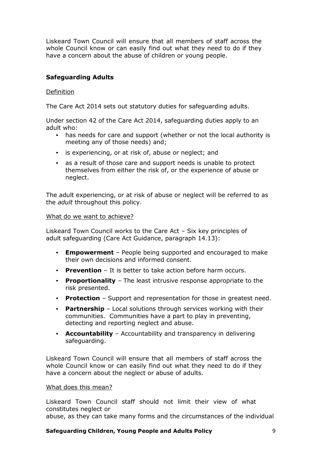Liskeard Town Council will ensure that all members of staff across the whole Council know or can easily find out what they need to do if they have a concern about the abuse of children or young people.

#### **Safeguarding Adults**

#### Definition

The Care Act 2014 sets out statutory duties for safeguarding adults.

Under section 42 of the Care Act 2014, safeguarding duties apply to an adult who:

- has needs for care and support (whether or not the local authority is meeting any of those needs) and;
- is experiencing, or at risk of, abuse or neglect; and
- as a result of those care and support needs is unable to protect themselves from either the risk of, or the experience of abuse or neglect.

The adult experiencing, or at risk of abuse or neglect will be referred to as the *adult* throughout this policy.

#### What do we want to achieve?

Liskeard Town Council works to the Care Act – Six key principles of adult safeguarding (Care Act Guidance, paragraph 14.13):

- **Empowerment** People being supported and encouraged to make their own decisions and informed consent.
- **Prevention** It is better to take action before harm occurs.
- **Proportionality** The least intrusive response appropriate to the risk presented.
- **Protection** Support and representation for those in greatest need.
- **Partnership** Local solutions through services working with their communities. Communities have a part to play in preventing, detecting and reporting neglect and abuse.
- **Accountability** Accountability and transparency in delivering safeguarding.

Liskeard Town Council will ensure that all members of staff across the whole Council know or can easily find out what they need to do if they have a concern about the neglect or abuse of adults.

#### What does this mean?

Liskeard Town Council staff should not limit their view of what constitutes neglect or abuse, as they can take many forms and the circumstances of the individual

**Safeguarding Children, Young People and Adults Policy** 9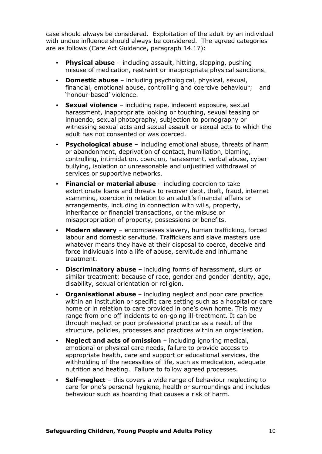case should always be considered. Exploitation of the adult by an individual with undue influence should always be considered. The agreed categories are as follows (Care Act Guidance, paragraph 14.17):

- **Physical abuse** including assault, hitting, slapping, pushing misuse of medication, restraint or inappropriate physical sanctions.
- **Domestic abuse** including psychological, physical, sexual, financial, emotional abuse, controlling and coercive behaviour; and 'honour-based' violence.
- **Sexual violence** including rape, indecent exposure, sexual harassment, inappropriate looking or touching, sexual teasing or innuendo, sexual photography, subjection to pornography or witnessing sexual acts and sexual assault or sexual acts to which the adult has not consented or was coerced.
- **Psychological abuse** including emotional abuse, threats of harm or abandonment, deprivation of contact, humiliation, blaming, controlling, intimidation, coercion, harassment, verbal abuse, cyber bullying, isolation or unreasonable and unjustified withdrawal of services or supportive networks.
- **Financial or material abuse** including coercion to take extortionate loans and threats to recover debt, theft, fraud, internet scamming, coercion in relation to an adult's financial affairs or arrangements, including in connection with wills, property, inheritance or financial transactions, or the misuse or misappropriation of property, possessions or benefits.
- **Modern slavery** encompasses slavery, human trafficking, forced labour and domestic servitude. Traffickers and slave masters use whatever means they have at their disposal to coerce, deceive and force individuals into a life of abuse, servitude and inhumane treatment.
- **Discriminatory abuse** including forms of harassment, slurs or similar treatment; because of race, gender and gender identity, age, disability, sexual orientation or religion.
- **Organisational abuse** including neglect and poor care practice within an institution or specific care setting such as a hospital or care home or in relation to care provided in one's own home. This may range from one off incidents to on-going ill-treatment. It can be through neglect or poor professional practice as a result of the structure, policies, processes and practices within an organisation.
- **Neglect and acts of omission** including ignoring medical, emotional or physical care needs, failure to provide access to appropriate health, care and support or educational services, the withholding of the necessities of life, such as medication, adequate nutrition and heating. Failure to follow agreed processes.
- **Self-neglect** this covers a wide range of behaviour neglecting to care for one's personal hygiene, health or surroundings and includes behaviour such as hoarding that causes a risk of harm.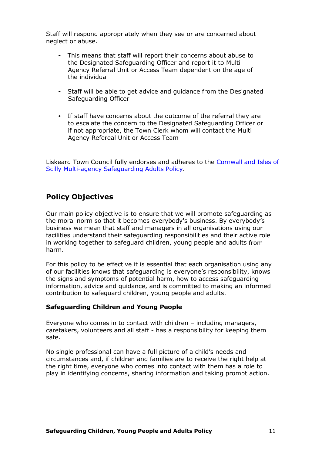Staff will respond appropriately when they see or are concerned about neglect or abuse.

- This means that staff will report their concerns about abuse to the Designated Safeguarding Officer and report it to Multi Agency Referral Unit or Access Team dependent on the age of the individual
- Staff will be able to get advice and guidance from the Designated Safeguarding Officer
- If staff have concerns about the outcome of the referral they are to escalate the concern to the Designated Safeguarding Officer or if not appropriate, the Town Clerk whom will contact the Multi Agency Refereal Unit or Access Team

Liskeard Town Council fully endorses and adheres to the Cornwall [and Isles](http://www.cornwall.gov.uk/safeguardingadults) of Scilly Multi-agency [Safeguarding](http://www.cornwall.gov.uk/safeguardingadults) Adults Policy.

## **Policy Objectives**

Our main policy objective is to ensure that we will promote safeguarding as the moral norm so that it becomes everybody's business. By everybody's business we mean that staff and managers in all organisations using our facilities understand their safeguarding responsibilities and their active role in working together to safeguard children, young people and adults from harm.

For this policy to be effective it is essential that each organisation using any of our facilities knows that safeguarding is everyone's responsibility, knows the signs and symptoms of potential harm, how to access safeguarding information, advice and guidance, and is committed to making an informed contribution to safeguard children, young people and adults.

#### **Safeguarding Children and Young People**

Everyone who comes in to contact with children – including managers, caretakers, volunteers and all staff - has a responsibility for keeping them safe.

No single professional can have a full picture of a child's needs and circumstances and, if children and families are to receive the right help at the right time, everyone who comes into contact with them has a role to play in identifying concerns, sharing information and taking prompt action.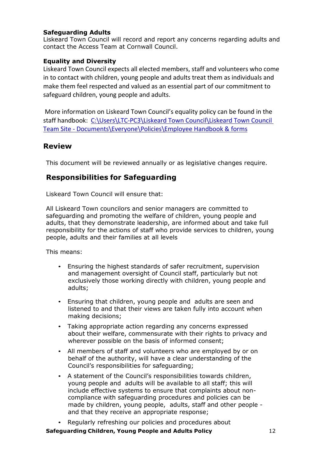#### **Safeguarding Adults**

Liskeard Town Council will record and report any concerns regarding adults and contact the Access Team at Cornwall Council.

## **Equality and Diversity**

Liskeard Town Council expects all elected members, staff and volunteers who come in to contact with children, young people and adults treat them as individuals and make them feel respected and valued as an essential part of our commitment to safeguard children, young people and adults.

More information on Liskeard Town Council's equality policy can be found in the staff handbook: [C:\Users\LTC-PC3\Liskeard Town Council\Liskeard Town Council](https://liskeardtowncouncil-my.sharepoint.com/personal/aafacilities_liskeardtowncouncil_onmicrosoft_com/Documents/Safeguarding/Policy/LTC%20adopted%20Safeguarding%20Policy/Liskeard%20Town%20Council%20safeguarding-policy.docx)  Team Site - [Documents\Everyone\Policies\Employee Handbook & forms](https://liskeardtowncouncil-my.sharepoint.com/personal/aafacilities_liskeardtowncouncil_onmicrosoft_com/Documents/Safeguarding/Policy/LTC%20adopted%20Safeguarding%20Policy/Liskeard%20Town%20Council%20safeguarding-policy.docx)

## **Review**

This document will be reviewed annually or as legislative changes require.

## **Responsibilities for Safeguarding**

Liskeard Town Council will ensure that:

All Liskeard Town councilors and senior managers are committed to safeguarding and promoting the welfare of children, young people and adults, that they demonstrate leadership, are informed about and take full responsibility for the actions of staff who provide services to children, young people, adults and their families at all levels

This means:

- Ensuring the highest standards of safer recruitment, supervision and management oversight of Council staff, particularly but not exclusively those working directly with children, young people and adults;
- Ensuring that children, young people and adults are seen and listened to and that their views are taken fully into account when making decisions;
- Taking appropriate action regarding any concerns expressed about their welfare, commensurate with their rights to privacy and wherever possible on the basis of informed consent;
- All members of staff and volunteers who are employed by or on behalf of the authority, will have a clear understanding of the Council's responsibilities for safeguarding;
- A statement of the Council's responsibilities towards children, young people and adults will be available to all staff; this will include effective systems to ensure that complaints about noncompliance with safeguarding procedures and policies can be made by children, young people, adults, staff and other people and that they receive an appropriate response;
- Regularly refreshing our policies and procedures about

**Safeguarding Children, Young People and Adults Policy** 12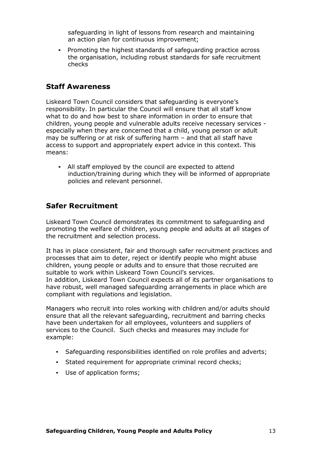safeguarding in light of lessons from research and maintaining an action plan for continuous improvement;

• Promoting the highest standards of safeguarding practice across the organisation, including robust standards for safe recruitment checks

## **Staff Awareness**

Liskeard Town Council considers that safeguarding is everyone's responsibility. In particular the Council will ensure that all staff know what to do and how best to share information in order to ensure that children, young people and vulnerable adults receive necessary services especially when they are concerned that a child, young person or adult may be suffering or at risk of suffering harm – and that all staff have access to support and appropriately expert advice in this context. This means:

• All staff employed by the council are expected to attend induction/training during which they will be informed of appropriate policies and relevant personnel.

## **Safer Recruitment**

Liskeard Town Council demonstrates its commitment to safeguarding and promoting the welfare of children, young people and adults at all stages of the recruitment and selection process.

It has in place consistent, fair and thorough safer recruitment practices and processes that aim to deter, reject or identify people who might abuse children, young people or adults and to ensure that those recruited are suitable to work within Liskeard Town Council's services. In addition, Liskeard Town Council expects all of its partner organisations to have robust, well managed safeguarding arrangements in place which are compliant with regulations and legislation.

Managers who recruit into roles working with children and/or adults should ensure that all the relevant safeguarding, recruitment and barring checks have been undertaken for all employees, volunteers and suppliers of services to the Council. Such checks and measures may include for example:

- Safeguarding responsibilities identified on role profiles and adverts;
- Stated requirement for appropriate criminal record checks;
- Use of application forms;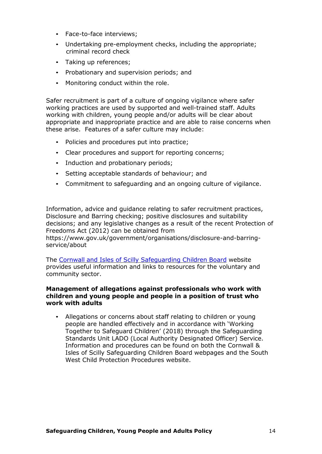- Face-to-face interviews;
- Undertaking pre-employment checks, including the appropriate; criminal record check
- Taking up references;
- Probationary and supervision periods; and
- Monitoring conduct within the role.

Safer recruitment is part of a culture of ongoing vigilance where safer working practices are used by supported and well-trained staff. Adults working with children, young people and/or adults will be clear about appropriate and inappropriate practice and are able to raise concerns when these arise. Features of a safer culture may include:

- Policies and procedures put into practice;
- Clear procedures and support for reporting concerns;
- Induction and probationary periods;
- Setting acceptable standards of behaviour; and
- Commitment to safeguarding and an ongoing culture of vigilance.

Information, advice and guidance relating to safer recruitment practices, Disclosure and Barring checking; positive disclosures and suitability decisions; and any legislative changes as a result of the recent Protection of Freedoms Act (2012) can be obtained from

https://www.gov.uk/government/organisations/disclosure-and-barringservice/about

The Cornwall and Isles of Scilly [Safeguarding Children](http://www.safechildren-cios.co.uk/) Board website provides useful information and links to resources for the voluntary and community sector.

#### **Management of allegations against professionals who work with children and young people and people in a position of trust who work with adults**

• Allegations or concerns about staff relating to children or young people are handled effectively and in accordance with 'Working Together to Safeguard Children' (2018) through the Safeguarding Standards Unit LADO (Local Authority Designated Officer) Service. Information and procedures can be found on both the Cornwall & Isles of Scilly Safeguarding Children Board webpages and the South West Child Protection Procedures website.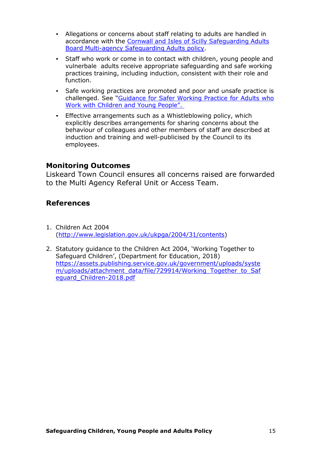- Allegations or concerns about staff relating to adults are handled in accordance with the Cornwall and Isles of [Scilly Safeguarding Adults](http://www.cornwall.gov.uk/safeguardingadults) [Board Multi-agency](http://www.cornwall.gov.uk/safeguardingadults) Safeguarding Adults policy.
- Staff who work or come in to contact with children, young people and vulnerbale adults receive appropriate safeguarding and safe working practices training, including induction, consistent with their role and function.
- Safe working practices are promoted and poor and unsafe practice is challenged. See "[Guidance for](http://www.saferrecruitmentconsortium.org/GSWP%20Oct%202015.pdf) Safer Working Practice for Adults who [Work with Children](http://www.saferrecruitmentconsortium.org/GSWP%20Oct%202015.pdf) and Young People".
- Effective arrangements such as a Whistleblowing policy, which explicitly describes arrangements for sharing concerns about the behaviour of colleagues and other members of staff are described at induction and training and well-publicised by the Council to its employees.

## **Monitoring Outcomes**

Liskeard Town Council ensures all concerns raised are forwarded to the Multi Agency Referal Unit or Access Team.

## **References**

- 1. Children Act 2004 [\(http://www.legislation.gov.uk/ukpga/2004/31/contents\)](http://www.legislation.gov.uk/ukpga/2004/31/contents)
- 2. Statutory guidance to the Children Act 2004, 'Working Together to Safeguard Children', (Department for Education, 2018) [https://assets.publishing.service.gov.uk/government/uploads/syste](https://assets.publishing.service.gov.uk/government/uploads/system/uploads/attachment_data/file/729914/Working_Together_to_Safeguard_Children-2018.pdf) [m/uploads/attachment\\_data/file/729914/Working\\_Together\\_to\\_Saf](https://assets.publishing.service.gov.uk/government/uploads/system/uploads/attachment_data/file/729914/Working_Together_to_Safeguard_Children-2018.pdf) [eguard\\_Children-2018.pdf](https://assets.publishing.service.gov.uk/government/uploads/system/uploads/attachment_data/file/729914/Working_Together_to_Safeguard_Children-2018.pdf)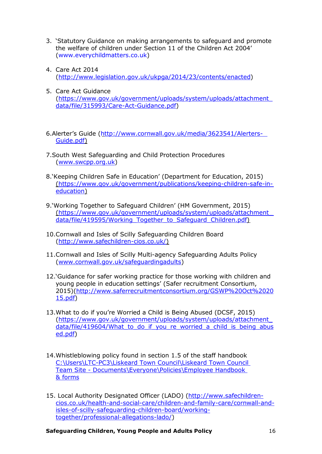- 3. 'Statutory Guidance on making arrangements to safeguard and promote the welfare of children under Section 11 of the Children Act 2004' [\(www.everychildmatters.co.uk\)](http://www.everychildmatters.co.uk/)
- 4. Care Act 2014 [\(http://www.legislation.gov.uk/ukpga/2014/23/contents/enacted\)](http://www.legislation.gov.uk/ukpga/2014/23/contents/enacted)
- 5. Care Act Guidance [\(https://www.gov.uk/government/uploads/system/uploads/attachment\\_](https://www.gov.uk/government/uploads/system/uploads/attachment_data/file/315993/Care-Act-Guidance.pdf) [data/file/315993/Care-Act-Guidance.pdf\)](https://www.gov.uk/government/uploads/system/uploads/attachment_data/file/315993/Care-Act-Guidance.pdf)
- 6.Alerter's Guide [\(http://www.cornwall.gov.uk/media/3623541/Alerters-](http://www.cornwall.gov.uk/media/3623541/Alerters-Guide.pdf)[Guide.pdf\)](http://www.cornwall.gov.uk/media/3623541/Alerters-Guide.pdf)
- 7.South West Safeguarding and Child Protection Procedures [\(www.swcpp.org.uk\)](http://www.swcpp.org.uk/)
- 8.'Keeping Children Safe in Education' (Department for Education, 2015) [\(https://www.gov.uk/government/publications/keeping-children-safe-in](https://www.gov.uk/government/publications/keeping-children-safe-in-education)[education\)](https://www.gov.uk/government/publications/keeping-children-safe-in-education)
- 9.'Working Together to Safeguard Children' (HM Government, 2015) [\(https://www.gov.uk/government/uploads/system/uploads/attachment\\_](https://www.gov.uk/government/uploads/system/uploads/attachment_data/file/419595/Working_Together_to_Safeguard_Children.pdf) data/file/419595/Working Together to Safeguard Children.pdf)
- 10.Cornwall and Isles of Scilly Safeguarding Children Board [\(http://www.safechildren-cios.co.uk/\)](http://www.safechildren-cios.co.uk/)
- 11.Cornwall and Isles of Scilly Multi-agency Safeguarding Adults Policy [\(www.cornwall.gov.uk/safeguardingadults\)](http://www.cornwall.gov.uk/safeguardingadults)
- 12.'Guidance for safer working practice for those working with children and young people in education settings' (Safer recruitment Consortium, 2015)[\(http://www.saferrecruitmentconsortium.org/GSWP%20Oct%2020](http://www.saferrecruitmentconsortium.org/GSWP%20Oct%202015.pdf) [15.pdf\)](http://www.saferrecruitmentconsortium.org/GSWP%20Oct%202015.pdf)
- 13.What to do if you're Worried a Child is Being Abused (DCSF, 2015) [\(https://www.gov.uk/government/uploads/system/uploads/attachment\\_](https://www.gov.uk/government/uploads/system/uploads/attachment_data/file/419604/What_to_do_if_you_re_worried_a_child_is_being_abused.pdf) data/file/419604/What to do if you re worried a child is being abus [ed.pdf\)](https://www.gov.uk/government/uploads/system/uploads/attachment_data/file/419604/What_to_do_if_you_re_worried_a_child_is_being_abused.pdf)
- 14.Whistleblowing policy found in section 1.5 of the staff handbook [C:\Users\LTC-PC3\Liskeard Town Council\Liskeard Town Council](https://liskeardtowncouncil.sharepoint.com/Shared%20Documents/Everyone/Policies/Employee%20Handbook%20&%20forms/Employee%20handbook%20-%20Liskeard%20Town%20Council%20Oct%202016.docx) Team Site - [Documents\Everyone\Policies\Employee Handbook](https://liskeardtowncouncil.sharepoint.com/Shared%20Documents/Everyone/Policies/Employee%20Handbook%20&%20forms/Employee%20handbook%20-%20Liskeard%20Town%20Council%20Oct%202016.docx)  [& forms](https://liskeardtowncouncil.sharepoint.com/Shared%20Documents/Everyone/Policies/Employee%20Handbook%20&%20forms/Employee%20handbook%20-%20Liskeard%20Town%20Council%20Oct%202016.docx)
- 15. Local Authority Designated Officer (LADO) [\(http://www.safechildren](http://www.safechildren-cios.co.uk/health-and-social-care/children-and-family-care/cornwall-and-isles-of-scilly-safeguarding-children-board/working-together/professional-allegations-lado/)[cios.co.uk/health-and-social-care/children-and-family-care/cornwall-and](http://www.safechildren-cios.co.uk/health-and-social-care/children-and-family-care/cornwall-and-isles-of-scilly-safeguarding-children-board/working-together/professional-allegations-lado/)[isles-of-scilly-safeguarding-children-board/working](http://www.safechildren-cios.co.uk/health-and-social-care/children-and-family-care/cornwall-and-isles-of-scilly-safeguarding-children-board/working-together/professional-allegations-lado/)[together/professional-allegations-lado/\)](http://www.safechildren-cios.co.uk/health-and-social-care/children-and-family-care/cornwall-and-isles-of-scilly-safeguarding-children-board/working-together/professional-allegations-lado/)

**Safeguarding Children, Young People and Adults Policy** 16